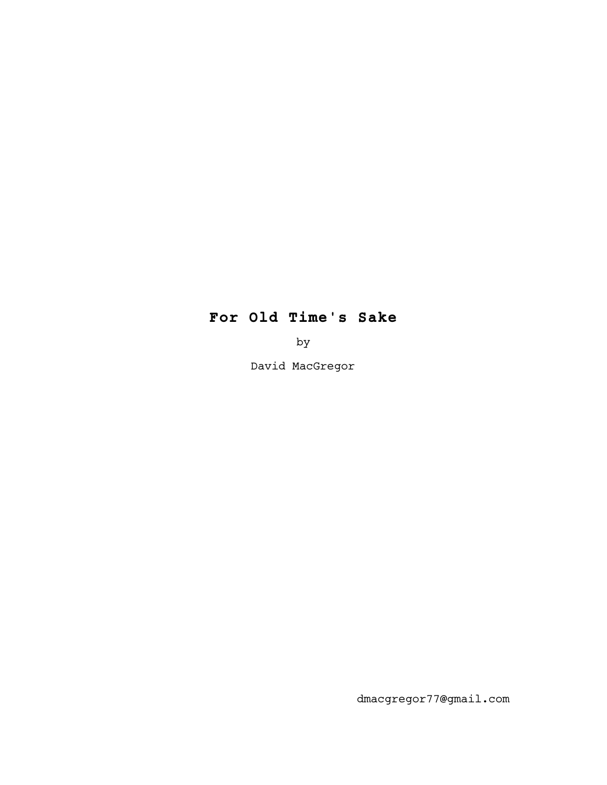# **For Old Time's Sake**

by

David MacGregor

dmacgregor77@gmail.com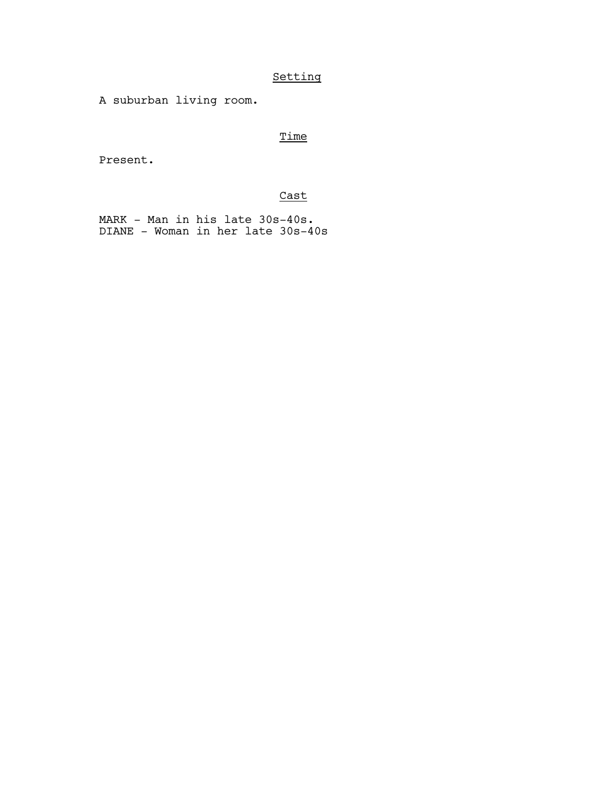# Setting

A suburban living room.

# Time

Present.

# Cast

 MARK - Man in his late 30s-40s. DIANE - Woman in her late 30s-40s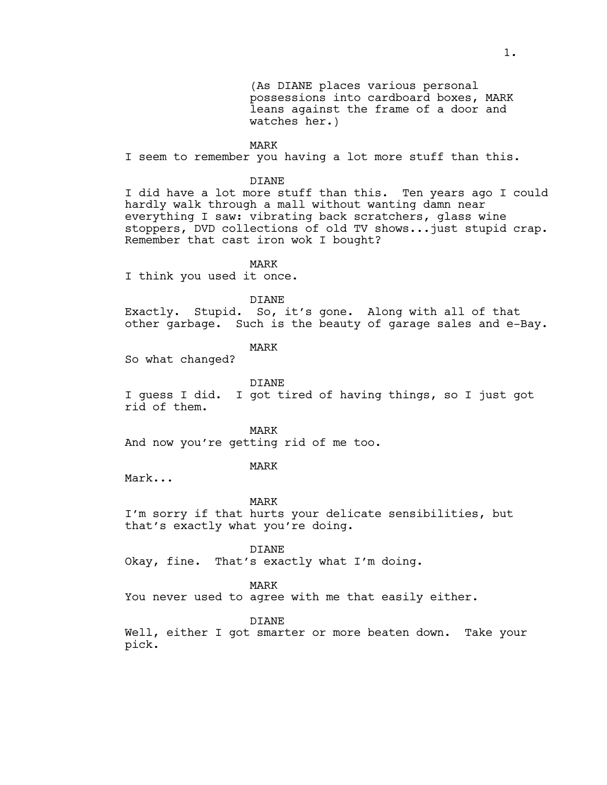(As DIANE places various personal possessions into cardboard boxes, MARK leans against the frame of a door and watches her.)

MARK

I seem to remember you having a lot more stuff than this.

#### DIANE

I did have a lot more stuff than this. Ten years ago I could hardly walk through a mall without wanting damn near everything I saw: vibrating back scratchers, glass wine stoppers, DVD collections of old TV shows...just stupid crap. Remember that cast iron wok I bought?

MARK

I think you used it once.

DIANE

Exactly. Stupid. So, it's gone. Along with all of that other garbage. Such is the beauty of garage sales and e-Bay.

MARK

So what changed?

DIANE

I guess I did. I got tired of having things, so I just got rid of them.

MARK

And now you're getting rid of me too.

# MARK

Mark...

MARK

I'm sorry if that hurts your delicate sensibilities, but that's exactly what you're doing.

DIANE

Okay, fine. That's exactly what I'm doing.

MARK

You never used to agree with me that easily either.

DIANE

Well, either I got smarter or more beaten down. Take your pick.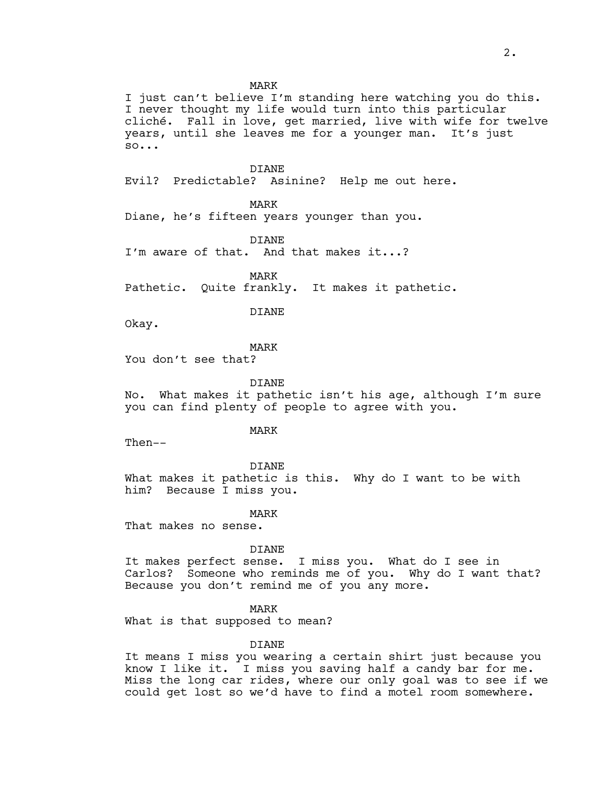I just can't believe I'm standing here watching you do this. I never thought my life would turn into this particular cliché. Fall in love, get married, live with wife for twelve years, until she leaves me for a younger man. It's just so...

#### DIANE

Evil? Predictable? Asinine? Help me out here.

MARK

Diane, he's fifteen years younger than you.

DIANE

I'm aware of that. And that makes it...?

MARK

Pathetic. Quite frankly. It makes it pathetic.

DIANE

Okay.

MARK

You don't see that?

DIANE

No. What makes it pathetic isn't his age, although I'm sure you can find plenty of people to agree with you.

# MARK

Then--

DIANE What makes it pathetic is this. Why do I want to be with him? Because I miss you.

### MARK

That makes no sense.

#### DIANE

It makes perfect sense. I miss you. What do I see in Carlos? Someone who reminds me of you. Why do I want that? Because you don't remind me of you any more.

MARK

What is that supposed to mean?

## DIANE

It means I miss you wearing a certain shirt just because you know I like it. I miss you saving half a candy bar for me. Miss the long car rides, where our only goal was to see if we could get lost so we'd have to find a motel room somewhere.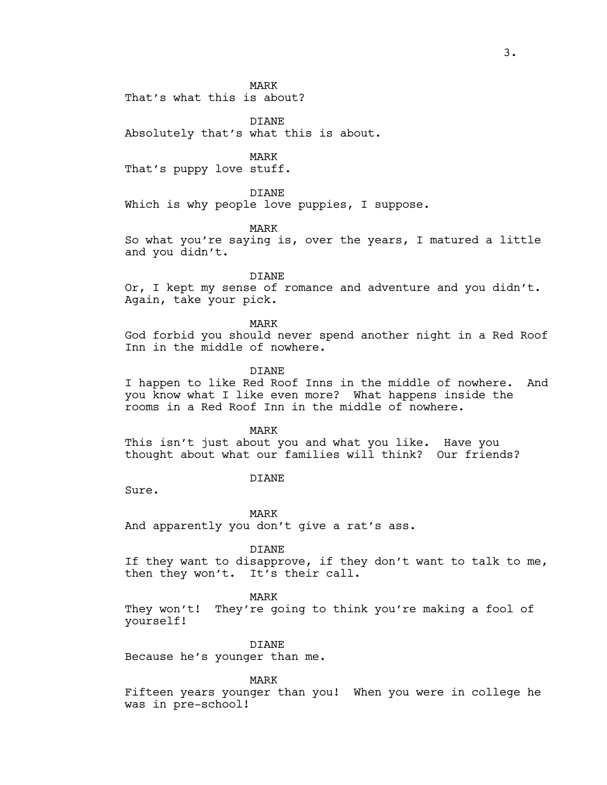MARK That's what this is about?

DIANE Absolutely that's what this is about.

MARK

That's puppy love stuff.

**DIANE** 

Which is why people love puppies, I suppose.

MARK

So what you're saying is, over the years, I matured a little and you didn't.

DIANE

Or, I kept my sense of romance and adventure and you didn't. Again, take your pick.

MARK

God forbid you should never spend another night in a Red Roof Inn in the middle of nowhere.

DIANE

I happen to like Red Roof Inns in the middle of nowhere. And you know what I like even more? What happens inside the rooms in a Red Roof Inn in the middle of nowhere.

MARK

This isn't just about you and what you like. Have you thought about what our families will think? Our friends?

## DIANE

Sure.

MARK

And apparently you don't give a rat's ass.

DIANE

If they want to disapprove, if they don't want to talk to me, then they won't. It's their call.

MARK

They won't! They're going to think you're making a fool of yourself!

DIANE

Because he's younger than me.

MARK

Fifteen years younger than you! When you were in college he was in pre-school!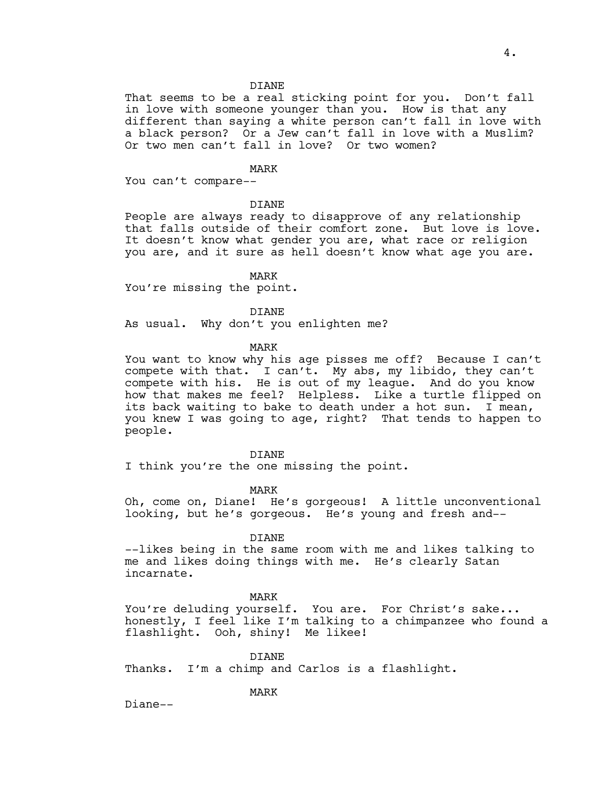#### DIANE

That seems to be a real sticking point for you. Don't fall in love with someone younger than you. How is that any different than saying a white person can't fall in love with a black person? Or a Jew can't fall in love with a Muslim? Or two men can't fall in love? Or two women?

#### MARK

You can't compare--

DIANE

People are always ready to disapprove of any relationship that falls outside of their comfort zone. But love is love. It doesn't know what gender you are, what race or religion you are, and it sure as hell doesn't know what age you are.

MARK

You're missing the point.

DIANE

As usual. Why don't you enlighten me?

# MARK

You want to know why his age pisses me off? Because I can't compete with that. I can't. My abs, my libido, they can't compete with his. He is out of my league. And do you know how that makes me feel? Helpless. Like a turtle flipped on its back waiting to bake to death under a hot sun. I mean, you knew I was going to age, right? That tends to happen to people.

DIANE

I think you're the one missing the point.

MARK

Oh, come on, Diane! He's gorgeous! A little unconventional looking, but he's gorgeous. He's young and fresh and--

DIANE

--likes being in the same room with me and likes talking to me and likes doing things with me. He's clearly Satan incarnate.

MARK

You're deluding yourself. You are. For Christ's sake... honestly, I feel like I'm talking to a chimpanzee who found a flashlight. Ooh, shiny! Me likee!

**DIANE** 

Thanks. I'm a chimp and Carlos is a flashlight.

MARK

Diane--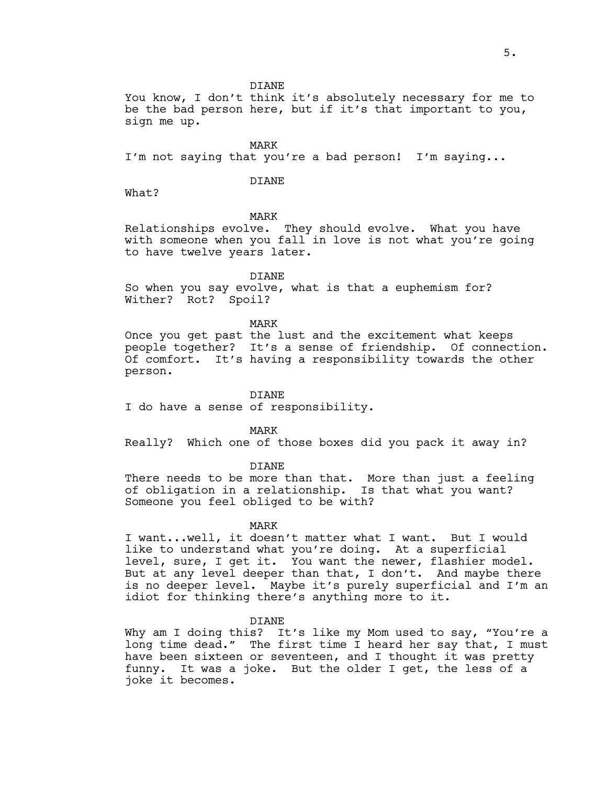DIANE

You know, I don't think it's absolutely necessary for me to be the bad person here, but if it's that important to you, sign me up.

MARK

I'm not saying that you're a bad person! I'm saying...

# DIANE

What?

#### MARK

Relationships evolve. They should evolve. What you have with someone when you fall in love is not what you're going to have twelve years later.

**DIANE** 

So when you say evolve, what is that a euphemism for? Wither? Rot? Spoil?

#### MARK

Once you get past the lust and the excitement what keeps people together? It's a sense of friendship. Of connection. Of comfort. It's having a responsibility towards the other person.

**DIANE** 

I do have a sense of responsibility.

MARK

Really? Which one of those boxes did you pack it away in?

DIANE

There needs to be more than that. More than just a feeling of obligation in a relationship. Is that what you want? Someone you feel obliged to be with?

#### MARK

I want...well, it doesn't matter what I want. But I would like to understand what you're doing. At a superficial level, sure, I get it. You want the newer, flashier model. But at any level deeper than that, I don't. And maybe there is no deeper level. Maybe it's purely superficial and I'm an idiot for thinking there's anything more to it.

DIANE

Why am I doing this? It's like my Mom used to say, "You're a long time dead." The first time I heard her say that, I must have been sixteen or seventeen, and I thought it was pretty funny. It was a joke. But the older I get, the less of a joke it becomes.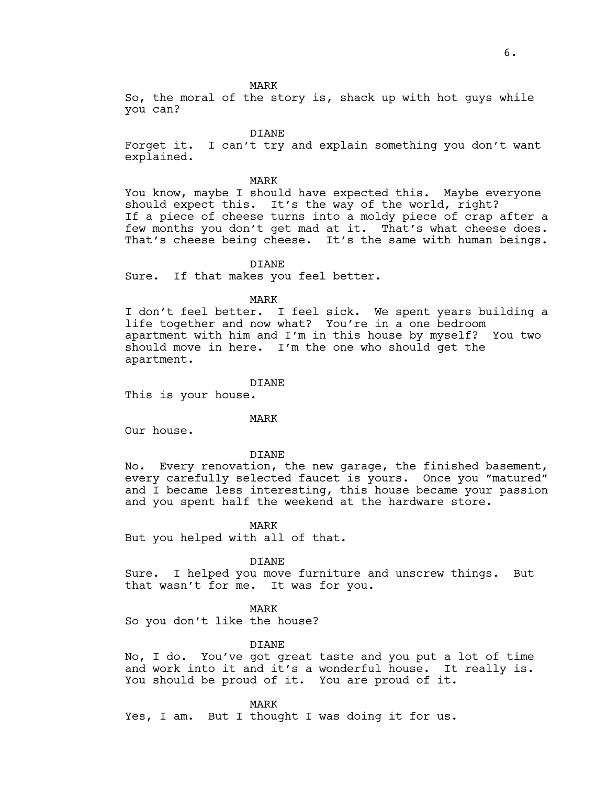So, the moral of the story is, shack up with hot guys while you can?

**DIANE** 

Forget it. I can't try and explain something you don't want explained.

MARK

You know, maybe I should have expected this. Maybe everyone should expect this. It's the way of the world, right? If a piece of cheese turns into a moldy piece of crap after a few months you don't get mad at it. That's what cheese does. That's cheese being cheese. It's the same with human beings.

**DIANE** 

Sure. If that makes you feel better.

MARK

I don't feel better. I feel sick. We spent years building a life together and now what? You're in a one bedroom apartment with him and I'm in this house by myself? You two should move in here. I'm the one who should get the apartment.

DIANE

This is your house.

MARK

Our house.

DIANE

No. Every renovation, the new garage, the finished basement, every carefully selected faucet is yours. Once you "matured" and I became less interesting, this house became your passion and you spent half the weekend at the hardware store.

MARK But you helped with all of that.

DIANE

Sure. I helped you move furniture and unscrew things. But that wasn't for me. It was for you.

MARK

So you don't like the house?

DIANE

No, I do. You've got great taste and you put a lot of time and work into it and it's a wonderful house. It really is. You should be proud of it. You are proud of it.

MARK

Yes, I am. But I thought I was doing it for us.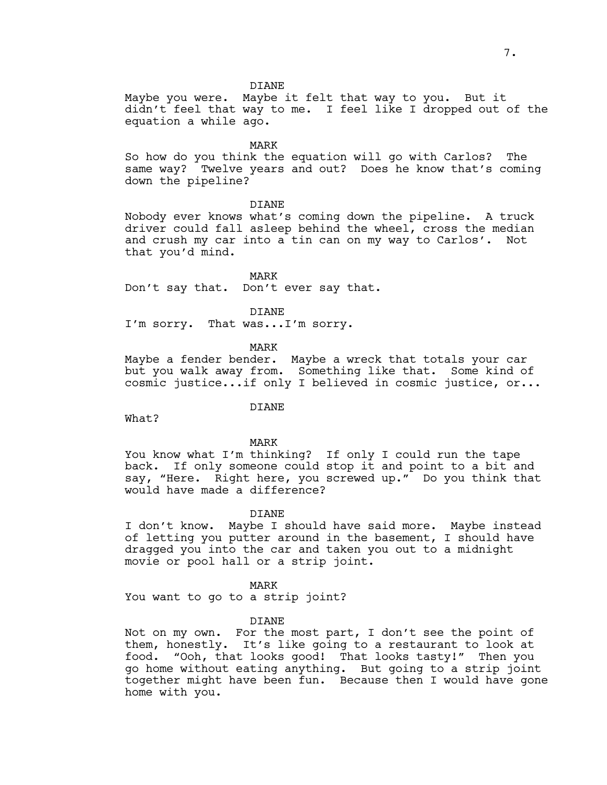#### DIANE

Maybe you were. Maybe it felt that way to you. But it didn't feel that way to me. I feel like I dropped out of the equation a while ago.

MARK

So how do you think the equation will go with Carlos? The same way? Twelve years and out? Does he know that's coming down the pipeline?

DIANE

Nobody ever knows what's coming down the pipeline. A truck driver could fall asleep behind the wheel, cross the median and crush my car into a tin can on my way to Carlos'. Not that you'd mind.

MARK

Don't say that. Don't ever say that.

DIANE

I'm sorry. That was...I'm sorry.

MARK

Maybe a fender bender. Maybe a wreck that totals your car but you walk away from. Something like that. Some kind of cosmic justice...if only I believed in cosmic justice, or...

DIANE

What?

MARK

You know what I'm thinking? If only I could run the tape back. If only someone could stop it and point to a bit and say, "Here. Right here, you screwed up." Do you think that would have made a difference?

DIANE

I don't know. Maybe I should have said more. Maybe instead of letting you putter around in the basement, I should have dragged you into the car and taken you out to a midnight movie or pool hall or a strip joint.

MARK

You want to go to a strip joint?

DIANE

Not on my own. For the most part, I don't see the point of them, honestly. It's like going to a restaurant to look at food. "Ooh, that looks good! That looks tasty!" Then you go home without eating anything. But going to a strip joint together might have been fun. Because then I would have gone home with you.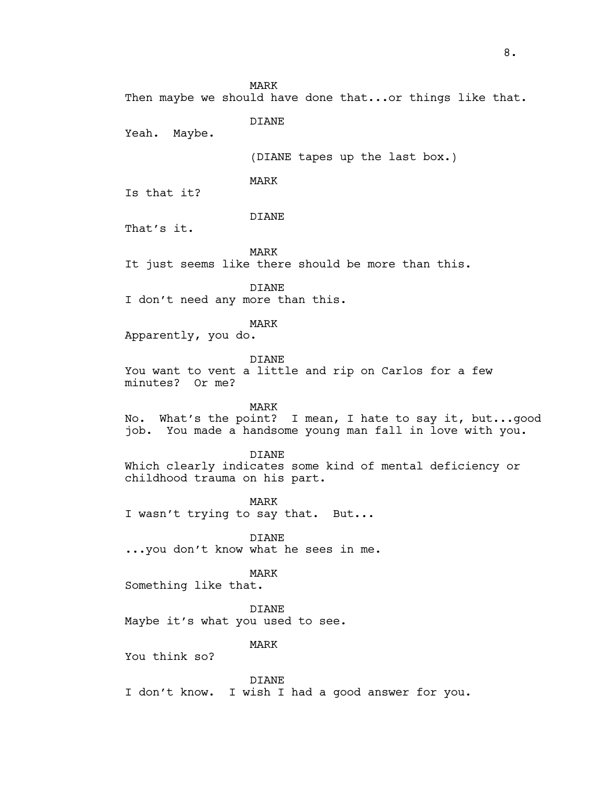Then maybe we should have done that...or things like that.

DIANE

Yeah. Maybe.

(DIANE tapes up the last box.)

MARK

Is that it?

### DIANE

That's it.

MARK

It just seems like there should be more than this.

DIANE

I don't need any more than this.

# MARK

Apparently, you do.

DIANE

You want to vent a little and rip on Carlos for a few minutes? Or me?

MARK

No. What's the point? I mean, I hate to say it, but...good job. You made a handsome young man fall in love with you.

DIANE

Which clearly indicates some kind of mental deficiency or childhood trauma on his part.

MARK I wasn't trying to say that. But...

DIANE ...you don't know what he sees in me.

# MARK

Something like that.

DIANE Maybe it's what you used to see.

MARK

You think so?

DIANE I don't know. I wish I had a good answer for you.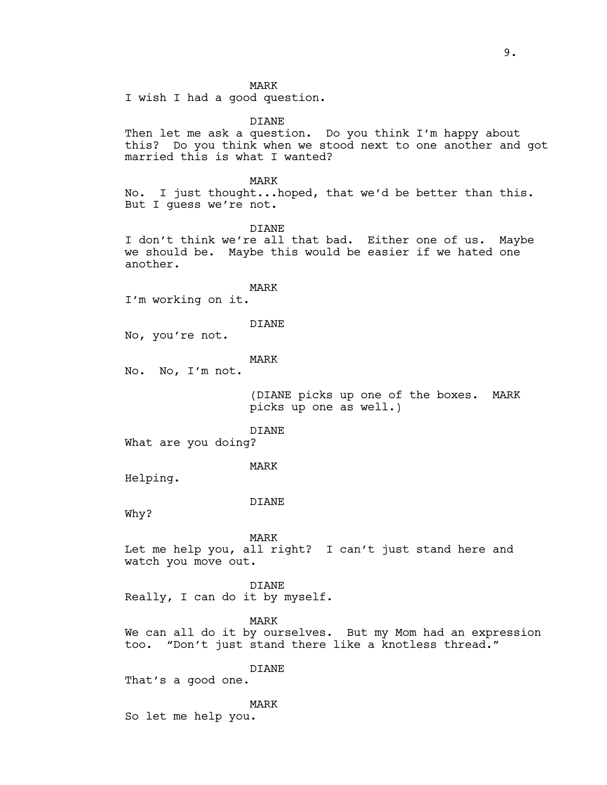I wish I had a good question.

DIANE

Then let me ask a question. Do you think I'm happy about this? Do you think when we stood next to one another and got married this is what I wanted?

MARK No. I just thought...hoped, that we'd be better than this. But I guess we're not.

DIANE

I don't think we're all that bad. Either one of us. Maybe we should be. Maybe this would be easier if we hated one another.

MARK

I'm working on it.

DIANE

No, you're not.

MARK

No. No, I'm not.

(DIANE picks up one of the boxes. MARK picks up one as well.)

DIANE

What are you doing?

MARK

Helping.

DIANE

Why?

MARK

Let me help you, all right? I can't just stand here and watch you move out.

DIANE Really, I can do it by myself.

MARK

We can all do it by ourselves. But my Mom had an expression too. "Don't just stand there like a knotless thread."

DIANE

That's a good one.

MARK So let me help you.